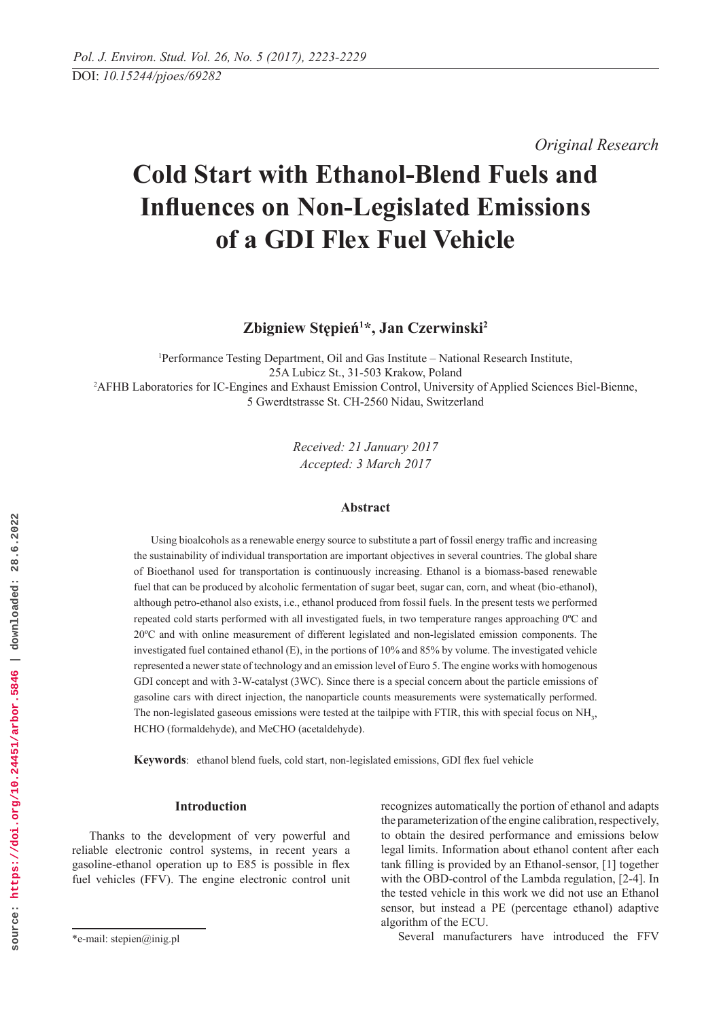*Original Research* 

# **Cold Start with Ethanol-Blend Fuels and Influences on Non-Legislated Emissions of a GDI Flex Fuel Vehicle**

**Zbigniew Stępień1 \*, Jan Czerwinski2**

1 Performance Testing Department, Oil and Gas Institute – National Research Institute, 25A Lubicz St., 31-503 Krakow, Poland 2 AFHB Laboratories for IC-Engines and Exhaust Emission Control, University of Applied Sciences Biel-Bienne, 5 Gwerdtstrasse St. CH-2560 Nidau, Switzerland

> *Received: 21 January 2017 Accepted: 3 March 2017*

# **Abstract**

Using bioalcohols as a renewable energy source to substitute a part of fossil energy traffic and increasing the sustainability of individual transportation are important objectives in several countries. The global share of Bioethanol used for transportation is continuously increasing. Ethanol is a biomass-based renewable fuel that can be produced by alcoholic fermentation of sugar beet, sugar can, corn, and wheat (bio-ethanol), although petro-ethanol also exists, i.e., ethanol produced from fossil fuels. In the present tests we performed repeated cold starts performed with all investigated fuels, in two temperature ranges approaching 0ºC and 20ºC and with online measurement of different legislated and non-legislated emission components. The investigated fuel contained ethanol (E), in the portions of 10% and 85% by volume. The investigated vehicle represented a newer state of technology and an emission level of Euro 5. The engine works with homogenous GDI concept and with 3-W-catalyst (3WC). Since there is a special concern about the particle emissions of gasoline cars with direct injection, the nanoparticle counts measurements were systematically performed. The non-legislated gaseous emissions were tested at the tailpipe with FTIR, this with special focus on NH<sub>3</sub>, HCHO (formaldehyde), and MeCHO (acetaldehyde).

**Keywords**: ethanol blend fuels, cold start, non-legislated emissions, GDI flex fuel vehicle

# **Introduction**

Thanks to the development of very powerful and reliable electronic control systems, in recent years a gasoline-ethanol operation up to E85 is possible in flex fuel vehicles (FFV). The engine electronic control unit recognizes automatically the portion of ethanol and adapts the parameterization of the engine calibration, respectively, to obtain the desired performance and emissions below legal limits. Information about ethanol content after each tank filling is provided by an Ethanol-sensor, [1] together with the OBD-control of the Lambda regulation, [2-4]. In the tested vehicle in this work we did not use an Ethanol sensor, but instead a PE (percentage ethanol) adaptive algorithm of the ECU.

Several manufacturers have introduced the FFV

<sup>\*</sup>e-mail: stepien@inig.pl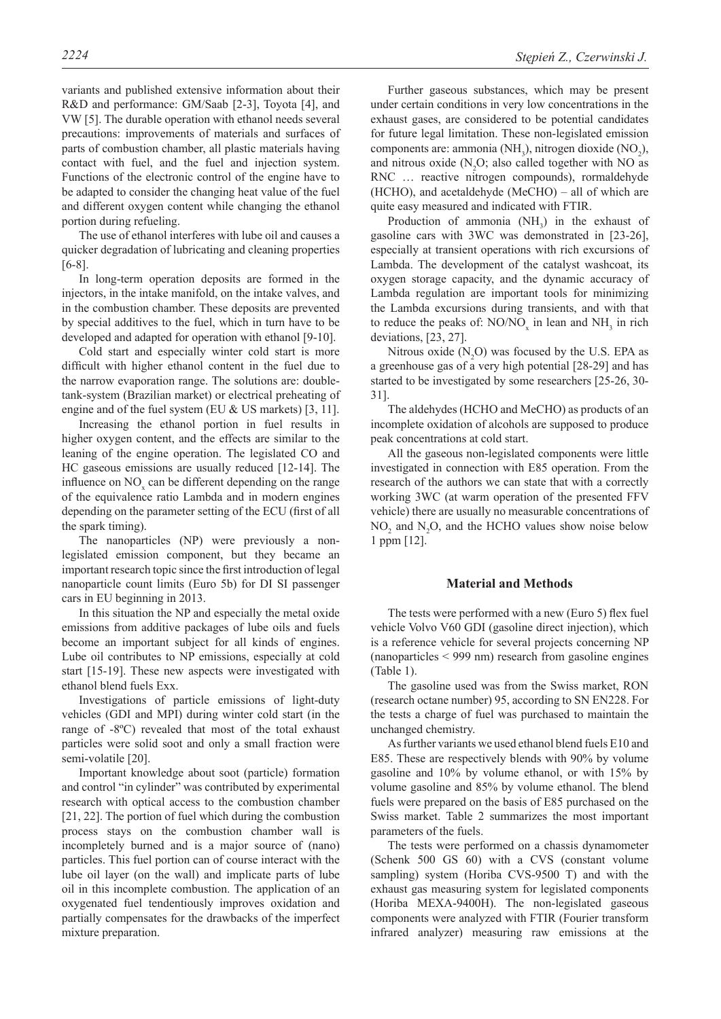variants and published extensive information about their R&D and performance: GM/Saab [2-3], Toyota [4], and VW [5]. The durable operation with ethanol needs several precautions: improvements of materials and surfaces of parts of combustion chamber, all plastic materials having contact with fuel, and the fuel and injection system. Functions of the electronic control of the engine have to be adapted to consider the changing heat value of the fuel and different oxygen content while changing the ethanol portion during refueling.

The use of ethanol interferes with lube oil and causes a quicker degradation of lubricating and cleaning properties [6-8].

In long-term operation deposits are formed in the injectors, in the intake manifold, on the intake valves, and in the combustion chamber. These deposits are prevented by special additives to the fuel, which in turn have to be developed and adapted for operation with ethanol [9-10].

Cold start and especially winter cold start is more difficult with higher ethanol content in the fuel due to the narrow evaporation range. The solutions are: doubletank-system (Brazilian market) or electrical preheating of engine and of the fuel system (EU & US markets) [3, 11].

Increasing the ethanol portion in fuel results in higher oxygen content, and the effects are similar to the leaning of the engine operation. The legislated CO and HC gaseous emissions are usually reduced [12-14]. The influence on  $NO<sub>x</sub>$  can be different depending on the range of the equivalence ratio Lambda and in modern engines depending on the parameter setting of the ECU (first of all the spark timing).

The nanoparticles (NP) were previously a nonlegislated emission component, but they became an important research topic since the first introduction of legal nanoparticle count limits (Euro 5b) for DI SI passenger cars in EU beginning in 2013.

In this situation the NP and especially the metal oxide emissions from additive packages of lube oils and fuels become an important subject for all kinds of engines. Lube oil contributes to NP emissions, especially at cold start [15-19]. These new aspects were investigated with ethanol blend fuels Exx.

Investigations of particle emissions of light-duty vehicles (GDI and MPI) during winter cold start (in the range of -8ºC) revealed that most of the total exhaust particles were solid soot and only a small fraction were semi-volatile [20].

Important knowledge about soot (particle) formation and control "in cylinder" was contributed by experimental research with optical access to the combustion chamber [21, 22]. The portion of fuel which during the combustion process stays on the combustion chamber wall is incompletely burned and is a major source of (nano) particles. This fuel portion can of course interact with the lube oil layer (on the wall) and implicate parts of lube oil in this incomplete combustion. The application of an oxygenated fuel tendentiously improves oxidation and partially compensates for the drawbacks of the imperfect mixture preparation.

Further gaseous substances, which may be present under certain conditions in very low concentrations in the exhaust gases, are considered to be potential candidates for future legal limitation. These non-legislated emission components are: ammonia (NH<sub>3</sub>), nitrogen dioxide (NO<sub>2</sub>), and nitrous oxide  $(N_2O)$ ; also called together with NO as RNC … reactive nitrogen compounds), rormaldehyde (HCHO), and acetaldehyde (MeCHO) – all of which are quite easy measured and indicated with FTIR.

Production of ammonia  $(NH_3)$  in the exhaust of gasoline cars with 3WC was demonstrated in [23-26], especially at transient operations with rich excursions of Lambda. The development of the catalyst washcoat, its oxygen storage capacity, and the dynamic accuracy of Lambda regulation are important tools for minimizing the Lambda excursions during transients, and with that to reduce the peaks of:  $NO/NO_x$  in lean and  $NH_3$  in rich deviations, [23, 27].

Nitrous oxide  $(N_2O)$  was focused by the U.S. EPA as a greenhouse gas of a very high potential [28-29] and has started to be investigated by some researchers [25-26, 30- 31].

The aldehydes (HCHO and MeCHO) as products of an incomplete oxidation of alcohols are supposed to produce peak concentrations at cold start.

All the gaseous non-legislated components were little investigated in connection with E85 operation. From the research of the authors we can state that with a correctly working 3WC (at warm operation of the presented FFV vehicle) there are usually no measurable concentrations of  $NO<sub>2</sub>$  and  $N<sub>2</sub>O$ , and the HCHO values show noise below 1 ppm [12].

#### **Material and Methods**

The tests were performed with a new (Euro 5) flex fuel vehicle Volvo V60 GDI (gasoline direct injection), which is a reference vehicle for several projects concerning NP (nanoparticles < 999 nm) research from gasoline engines (Table 1).

The gasoline used was from the Swiss market, RON (research octane number) 95, according to SN EN228. For the tests a charge of fuel was purchased to maintain the unchanged chemistry.

As further variants we used ethanol blend fuels E10 and E85. These are respectively blends with 90% by volume gasoline and 10% by volume ethanol, or with 15% by volume gasoline and 85% by volume ethanol. The blend fuels were prepared on the basis of E85 purchased on the Swiss market. Table 2 summarizes the most important parameters of the fuels.

The tests were performed on a chassis dynamometer (Schenk 500 GS 60) with a CVS (constant volume sampling) system (Horiba CVS-9500 T) and with the exhaust gas measuring system for legislated components (Horiba MEXA-9400H). The non-legislated gaseous components were analyzed with FTIR (Fourier transform infrared analyzer) measuring raw emissions at the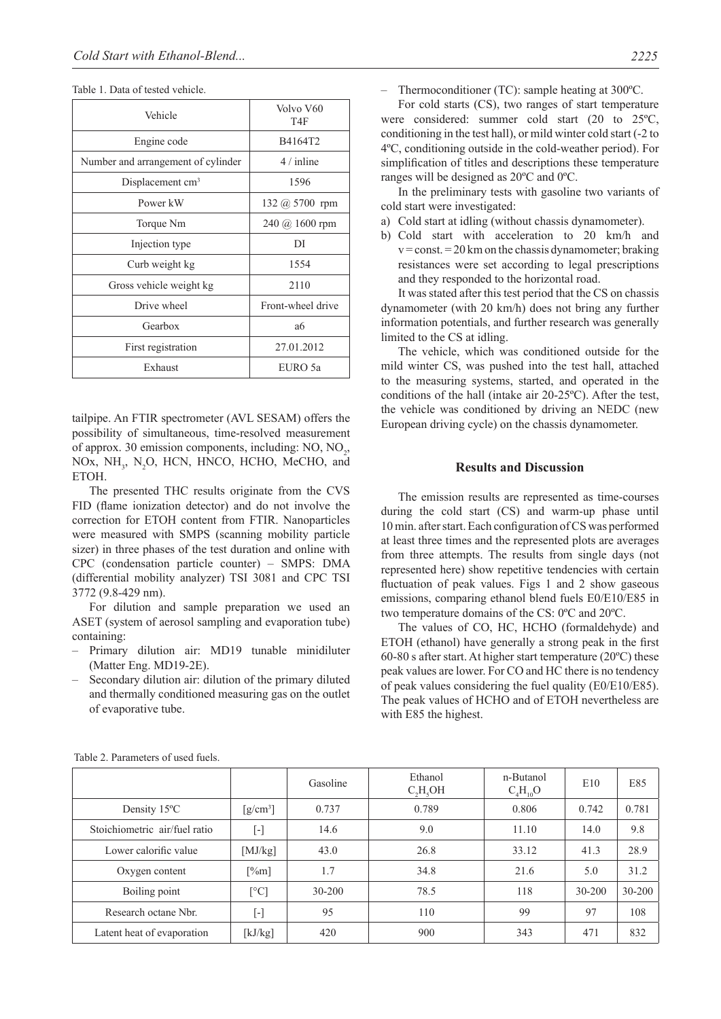|  |  | Table 1. Data of tested vehicle. |  |
|--|--|----------------------------------|--|
|--|--|----------------------------------|--|

| Vehicle                            | Volvo V60<br>T <sub>4F</sub>                |  |  |
|------------------------------------|---------------------------------------------|--|--|
| Engine code                        | B4164T2                                     |  |  |
| Number and arrangement of cylinder | $4 /$ inline                                |  |  |
| Displacement cm <sup>3</sup>       | 1596                                        |  |  |
| Power kW                           | $132 \; (a) 5700 \; \text{rpm}$             |  |  |
| Torque Nm                          | $240 \; (\text{\AA} \; 1600 \; \text{rpm})$ |  |  |
| Injection type                     | DI                                          |  |  |
| Curb weight kg                     | 1554                                        |  |  |
| Gross vehicle weight kg            | 2110                                        |  |  |
| Drive wheel                        | Front-wheel drive                           |  |  |
| Gearbox                            | a6                                          |  |  |
| First registration                 | 27.01.2012                                  |  |  |
| Exhaust                            | EURO 5a                                     |  |  |

tailpipe. An FTIR spectrometer (AVL SESAM) offers the possibility of simultaneous, time-resolved measurement of approx. 30 emission components, including:  $NO$ ,  $NO<sub>2</sub>$ , NOx,  $NH_3$ , N<sub>2</sub>O, HCN, HNCO, HCHO, MeCHO, and ETOH.

The presented THC results originate from the CVS FID (flame ionization detector) and do not involve the correction for ETOH content from FTIR. Nanoparticles were measured with SMPS (scanning mobility particle sizer) in three phases of the test duration and online with CPC (condensation particle counter) – SMPS: DMA (differential mobility analyzer) TSI 3081 and CPC TSI 3772 (9.8-429 nm).

For dilution and sample preparation we used an ASET (system of aerosol sampling and evaporation tube) containing:

- Primary dilution air: MD19 tunable minidiluter (Matter Eng. MD19-2E).
- Secondary dilution air: dilution of the primary diluted and thermally conditioned measuring gas on the outlet of evaporative tube.

– Thermoconditioner (TC): sample heating at 300ºC.

For cold starts (CS), two ranges of start temperature were considered: summer cold start (20 to 25ºC, conditioning in the test hall), or mild winter cold start (-2 to 4ºC, conditioning outside in the cold-weather period). For simplification of titles and descriptions these temperature ranges will be designed as 20ºC and 0ºC.

In the preliminary tests with gasoline two variants of cold start were investigated:

- a) Cold start at idling (without chassis dynamometer).
- b) Cold start with acceleration to 20 km/h and  $v = const. = 20$  km on the chassis dynamometer; braking resistances were set according to legal prescriptions and they responded to the horizontal road.

It was stated after this test period that the CS on chassis dynamometer (with 20 km/h) does not bring any further information potentials, and further research was generally limited to the CS at idling.

The vehicle, which was conditioned outside for the mild winter CS, was pushed into the test hall, attached to the measuring systems, started, and operated in the conditions of the hall (intake air 20-25ºC). After the test, the vehicle was conditioned by driving an NEDC (new European driving cycle) on the chassis dynamometer.

#### **Results and Discussion**

The emission results are represented as time-courses during the cold start (CS) and warm-up phase until 10 min. after start. Each configuration of CS was performed at least three times and the represented plots are averages from three attempts. The results from single days (not represented here) show repetitive tendencies with certain fluctuation of peak values. Figs 1 and 2 show gaseous emissions, comparing ethanol blend fuels E0/E10/E85 in two temperature domains of the CS: 0ºC and 20ºC.

The values of CO, HC, HCHO (formaldehyde) and ETOH (ethanol) have generally a strong peak in the first 60-80 s after start. At higher start temperature (20ºC) these peak values are lower. For CO and HC there is no tendency of peak values considering the fuel quality (E0/E10/E85). The peak values of HCHO and of ETOH nevertheless are with E85 the highest.

|                               |                                             | Gasoline | Ethanol<br>C, H, OH | n-Butanol<br>$C_4H_{10}O$ | E10    | E85        |
|-------------------------------|---------------------------------------------|----------|---------------------|---------------------------|--------|------------|
| Density 15°C                  | $\left[\frac{\text{g}}{\text{cm}^3}\right]$ | 0.737    | 0.789               | 0.806                     | 0.742  | 0.781      |
| Stoichiometric air/fuel ratio | $[\cdot]$                                   | 14.6     | 9.0                 | 11.10                     | 14.0   | 9.8        |
| Lower calorific value         | [ $MJ/kg$ ]                                 | 43.0     | 26.8                | 33.12                     | 41.3   | 28.9       |
| Oxygen content                | [%m]                                        | 1.7      | 34.8                | 21.6                      | 5.0    | 31.2       |
| Boiling point                 | $\lceil$ °C]                                | 30-200   | 78.5                | 118                       | 30-200 | $30 - 200$ |
| Research octane Nbr.          | $[\cdot]$                                   | 95       | 110                 | 99                        | 97     | 108        |
| Latent heat of evaporation    | [ $kJ/kg$ ]                                 | 420      | 900                 | 343                       | 471    | 832        |

Table 2. Parameters of used fuels.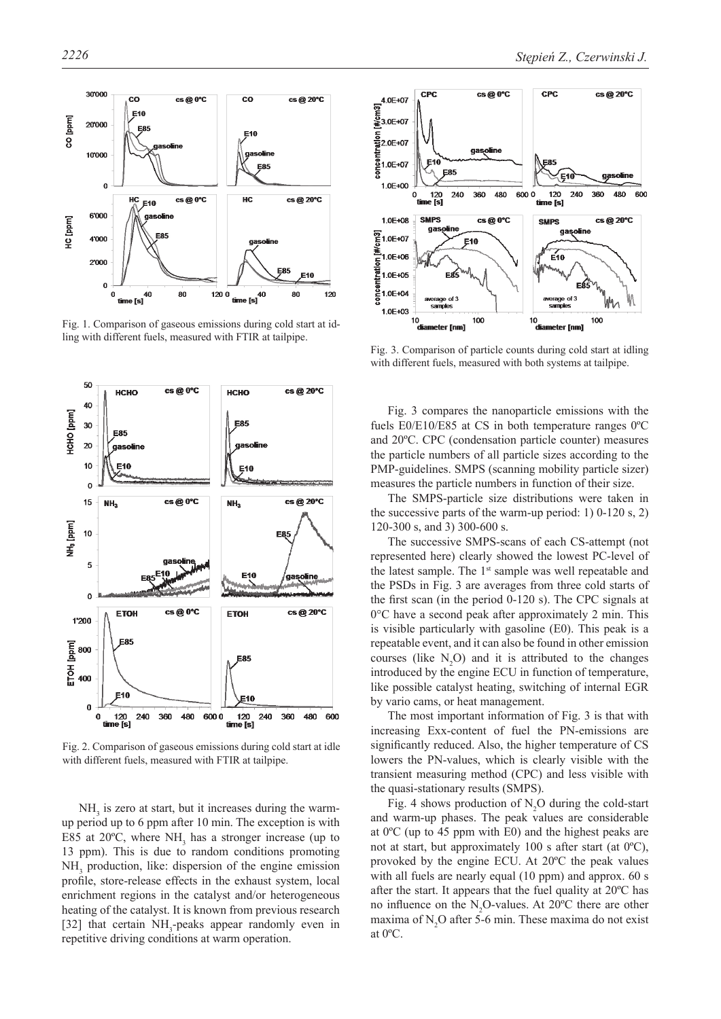

Fig. 1. Comparison of gaseous emissions during cold start at idling with different fuels, measured with FTIR at tailpipe.



Fig. 2. Comparison of gaseous emissions during cold start at idle with different fuels, measured with FTIR at tailpipe.

 $NH<sub>3</sub>$  is zero at start, but it increases during the warmup period up to 6 ppm after 10 min. The exception is with E85 at 20 $^{\circ}$ C, where NH<sub>3</sub> has a stronger increase (up to 13 ppm). This is due to random conditions promoting NH<sub>3</sub> production, like: dispersion of the engine emission profile, store-release effects in the exhaust system, local enrichment regions in the catalyst and/or heterogeneous heating of the catalyst. It is known from previous research [32] that certain NH<sub>3</sub>-peaks appear randomly even in repetitive driving conditions at warm operation.



Fig. 3. Comparison of particle counts during cold start at idling with different fuels, measured with both systems at tailpipe.

Fig. 3 compares the nanoparticle emissions with the fuels E0/E10/E85 at CS in both temperature ranges 0ºC and 20ºC. CPC (condensation particle counter) measures the particle numbers of all particle sizes according to the PMP-guidelines. SMPS (scanning mobility particle sizer) measures the particle numbers in function of their size.

The SMPS-particle size distributions were taken in the successive parts of the warm-up period: 1)  $0-120$  s, 2) 120-300 s, and 3) 300-600 s.

The successive SMPS-scans of each CS-attempt (not represented here) clearly showed the lowest PC-level of the latest sample. The 1<sup>st</sup> sample was well repeatable and the PSDs in Fig. 3 are averages from three cold starts of the first scan (in the period 0-120 s). The CPC signals at 0°C have a second peak after approximately 2 min. This is visible particularly with gasoline (E0). This peak is a repeatable event, and it can also be found in other emission courses (like  $N_2O$ ) and it is attributed to the changes introduced by the engine ECU in function of temperature, like possible catalyst heating, switching of internal EGR by vario cams, or heat management.

The most important information of Fig. 3 is that with increasing Exx-content of fuel the PN-emissions are significantly reduced. Also, the higher temperature of CS lowers the PN-values, which is clearly visible with the transient measuring method (CPC) and less visible with the quasi-stationary results (SMPS).

Fig. 4 shows production of  $N_2O$  during the cold-start and warm-up phases. The peak values are considerable at 0ºC (up to 45 ppm with E0) and the highest peaks are not at start, but approximately 100 s after start (at 0ºC), provoked by the engine ECU. At 20ºC the peak values with all fuels are nearly equal (10 ppm) and approx. 60 s after the start. It appears that the fuel quality at 20ºC has no influence on the  $N_2O$ -values. At 20 $^{\circ}$ C there are other maxima of  $N_2O$  after 5-6 min. These maxima do not exist at 0ºC.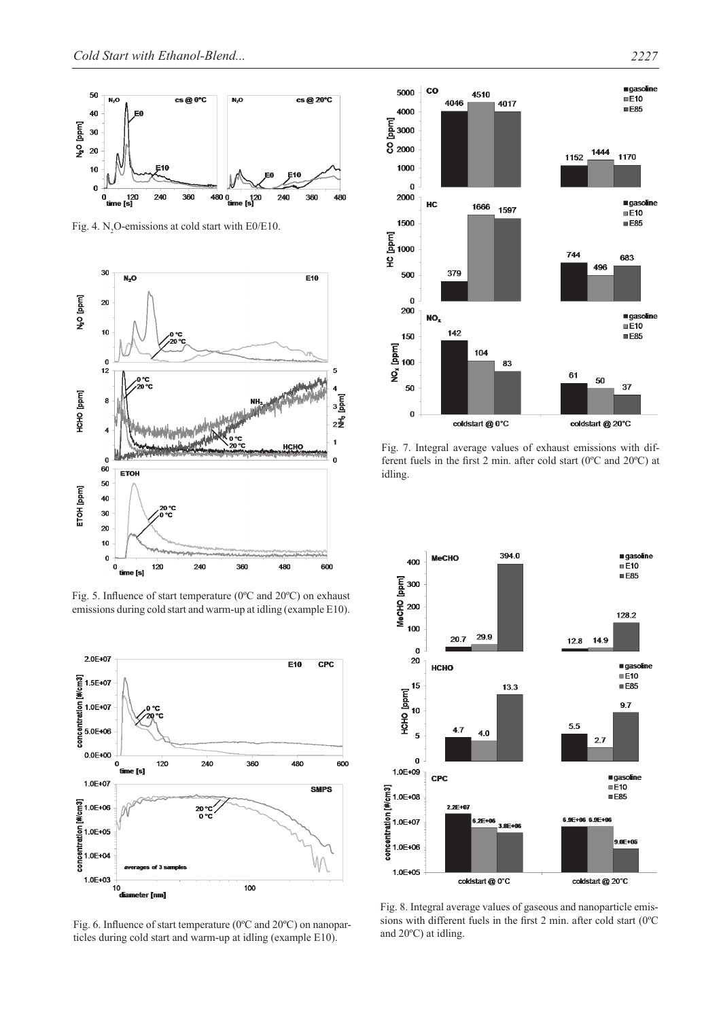

Fig. 4.  $N_2$ O-emissions at cold start with E0/E10.



Fig. 5. Influence of start temperature (0ºC and 20ºC) on exhaust emissions during cold start and warm-up at idling (example E10).



Fig. 6. Influence of start temperature (0ºC and 20ºC) on nanoparticles during cold start and warm-up at idling (example E10).



Fig. 7. Integral average values of exhaust emissions with different fuels in the first 2 min. after cold start (0ºC and 20ºC) at idling.



Fig. 8. Integral average values of gaseous and nanoparticle emissions with different fuels in the first 2 min. after cold start (0ºC and 20ºC) at idling.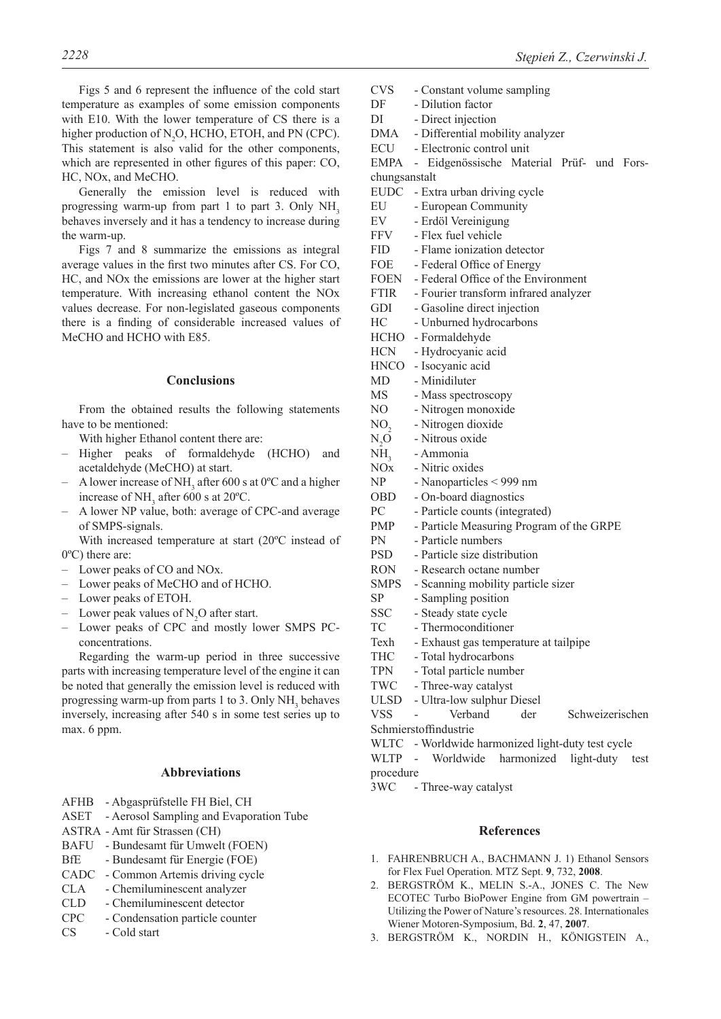Figs 5 and 6 represent the influence of the cold start temperature as examples of some emission components with E10. With the lower temperature of CS there is a higher production of  $N_2O$ , HCHO, ETOH, and PN (CPC). This statement is also valid for the other components, which are represented in other figures of this paper: CO, HC, NOx, and MeCHO.

Generally the emission level is reduced with progressing warm-up from part 1 to part 3. Only  $NH<sub>3</sub>$ behaves inversely and it has a tendency to increase during the warm-up.

Figs 7 and 8 summarize the emissions as integral average values in the first two minutes after CS. For CO, HC, and NOx the emissions are lower at the higher start temperature. With increasing ethanol content the NOx values decrease. For non-legislated gaseous components there is a finding of considerable increased values of MeCHO and HCHO with E85.

## **Conclusions**

From the obtained results the following statements have to be mentioned:

With higher Ethanol content there are:

- Higher peaks of formaldehyde (HCHO) and acetaldehyde (MeCHO) at start.
- $-$  A lower increase of NH<sub>3</sub> after 600 s at 0<sup>o</sup>C and a higher increase of NH<sub>3</sub> after 600 s at  $20^{\circ}$ C.
- A lower NP value, both: average of CPC-and average of SMPS-signals.

With increased temperature at start (20ºC instead of 0ºC) there are:

- Lower peaks of CO and NOx.
- Lower peaks of MeCHO and of HCHO.
- Lower peaks of ETOH.
- Lower peak values of  $N_2O$  after start.
- Lower peaks of CPC and mostly lower SMPS PCconcentrations.

Regarding the warm-up period in three successive parts with increasing temperature level of the engine it can be noted that generally the emission level is reduced with progressing warm-up from parts 1 to 3. Only  $NH<sub>3</sub>$  behaves inversely, increasing after 540 s in some test series up to max. 6 ppm.

# **Abbreviations**

- AFHB Abgasprüfstelle FH Biel, CH
- ASET Aerosol Sampling and Evaporation Tube
- ASTRA Amt für Strassen (CH)
- BAFU Bundesamt für Umwelt (FOEN)
- BfE Bundesamt für Energie (FOE)
- CADC Common Artemis driving cycle
- CLA Chemiluminescent analyzer
- CLD Chemiluminescent detector
- CPC Condensation particle counter
- CS Cold start
- *2228 Stępień Z., Czerwinski J.* 
	- CVS Constant volume sampling DF - Dilution factor DI - Direct injection DMA - Differential mobility analyzer ECU - Electronic control unit EMPA - Eidgenössische Material Prüf- und Forschungsanstalt EUDC - Extra urban driving cycle EU - European Community EV - Erdöl Vereinigung FFV - Flex fuel vehicle FID - Flame ionization detector FOE - Federal Office of Energy FOEN - Federal Office of the Environment FTIR - Fourier transform infrared analyzer GDI - Gasoline direct injection HC - Unburned hydrocarbons HCHO - Formaldehyde HCN - Hydrocyanic acid HNCO - Isocyanic acid MD - Minidiluter MS - Mass spectroscopy NO - Nitrogen monoxide NO<sub>2</sub> - Nitrogen dioxide  $N_2O$ <br>NH<sub>2</sub> - Nitrous oxide NH<sub>3</sub> - Ammonia<br>NOx - Nitric oxie - Nitric oxides NP - Nanoparticles < 999 nm OBD - On-board diagnostics PC - Particle counts (integrated) PMP - Particle Measuring Program of the GRPE PN - Particle numbers PSD - Particle size distribution RON - Research octane number SMPS - Scanning mobility particle sizer SP - Sampling position SSC - Steady state cycle TC - Thermoconditioner Texh - Exhaust gas temperature at tailpipe THC - Total hydrocarbons TPN - Total particle number TWC - Three-way catalyst ULSD - Ultra-low sulphur Diesel VSS - Verband der Schweizerischen Schmierstoffindustrie WLTC - Worldwide harmonized light-duty test cycle WLTP - Worldwide harmonized light-duty test procedure 3WC - Three-way catalyst

## **References**

- 1. FAHRENBRUCH A., BACHMANN J. 1) Ethanol Sensors for Flex Fuel Operation. MTZ Sept. **9**, 732, **2008**.
- 2. BERGSTRÖM K., MELIN S.-A., JONES C. The New ECOTEC Turbo BioPower Engine from GM powertrain – Utilizing the Power of Nature's resources. 28. Internationales Wiener Motoren-Symposium, Bd. **2**, 47, **2007**.
- 3. BERGSTRÖM K., NORDIN H., KÖNIGSTEIN A.,